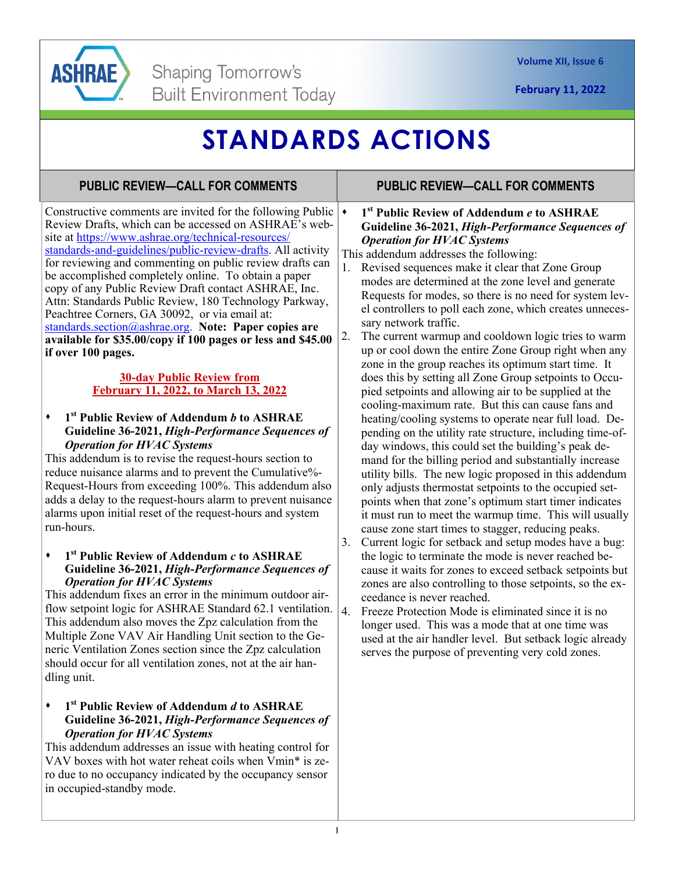## **STANDARDS ACTIONS**

### **PUBLIC REVIEW—CALL FOR COMMENTS PUBLIC REVIEW—CALL FOR COMMENTS**

Constructive comments are invited for the following Public  $\rightarrow$ Review Drafts, which can be accessed on ASHRAE's website at https://www.ashrae.org/technical-resources/ standards-and-guidelines/public-review-drafts. All activity for reviewing and commenting on public review drafts can be accomplished completely online. To obtain a paper copy of any Public Review Draft contact ASHRAE, Inc. Attn: Standards Public Review, 180 Technology Parkway, Peachtree Corners, GA 30092, or via email at: standards.section@ashrae.org. **Note: Paper copies are available for \$35.00/copy if 100 pages or less and \$45.00 if over 100 pages.** 

### **30-day Public Review from February 11, 2022, to March 13, 2022**

### **1st Public Review of Addendum** *b* **to ASHRAE Guideline 36-2021,** *High-Performance Sequences of Operation for HVAC Systems*

This addendum is to revise the request-hours section to reduce nuisance alarms and to prevent the Cumulative%- Request-Hours from exceeding 100%. This addendum also adds a delay to the request-hours alarm to prevent nuisance alarms upon initial reset of the request-hours and system run-hours.

#### **1st Public Review of Addendum** *c* **to ASHRAE Guideline 36-2021,** *High-Performance Sequences of Operation for HVAC Systems*

This addendum fixes an error in the minimum outdoor airflow setpoint logic for ASHRAE Standard 62.1 ventilation.  $|4|$ . This addendum also moves the Zpz calculation from the Multiple Zone VAV Air Handling Unit section to the Generic Ventilation Zones section since the Zpz calculation should occur for all ventilation zones, not at the air handling unit.

### **1st Public Review of Addendum** *d* **to ASHRAE Guideline 36-2021,** *High-Performance Sequences of Operation for HVAC Systems*

This addendum addresses an issue with heating control for VAV boxes with hot water reheat coils when Vmin\* is zero due to no occupancy indicated by the occupancy sensor in occupied-standby mode.

### **1st Public Review of Addendum** *e* **to ASHRAE Guideline 36-2021,** *High-Performance Sequences of Operation for HVAC Systems*

This addendum addresses the following:

- 1. Revised sequences make it clear that Zone Group modes are determined at the zone level and generate Requests for modes, so there is no need for system level controllers to poll each zone, which creates unnecessary network traffic.
- 2. The current warmup and cooldown logic tries to warm up or cool down the entire Zone Group right when any zone in the group reaches its optimum start time. It does this by setting all Zone Group setpoints to Occupied setpoints and allowing air to be supplied at the cooling-maximum rate. But this can cause fans and heating/cooling systems to operate near full load. Depending on the utility rate structure, including time-ofday windows, this could set the building's peak demand for the billing period and substantially increase utility bills. The new logic proposed in this addendum only adjusts thermostat setpoints to the occupied setpoints when that zone's optimum start timer indicates it must run to meet the warmup time. This will usually cause zone start times to stagger, reducing peaks.
- 3. Current logic for setback and setup modes have a bug: the logic to terminate the mode is never reached because it waits for zones to exceed setback setpoints but zones are also controlling to those setpoints, so the exceedance is never reached.
- Freeze Protection Mode is eliminated since it is no longer used. This was a mode that at one time was used at the air handler level. But setback logic already serves the purpose of preventing very cold zones.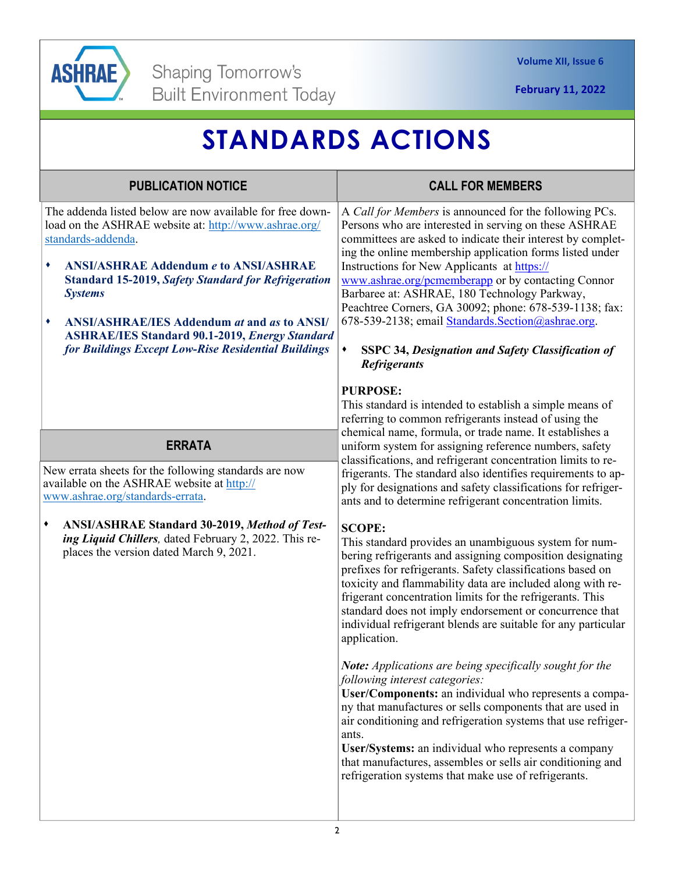

# **STANDARDS ACTIONS**

| <b>PUBLICATION NOTICE</b>                                                                                                                                                                                                                                                                                                                                                                                                                                | <b>CALL FOR MEMBERS</b>                                                                                                                                                                                                                                                                                                                                                                                                                                                                                                                                                                                                                                                                                                                                                                                                                                                                                                                               |
|----------------------------------------------------------------------------------------------------------------------------------------------------------------------------------------------------------------------------------------------------------------------------------------------------------------------------------------------------------------------------------------------------------------------------------------------------------|-------------------------------------------------------------------------------------------------------------------------------------------------------------------------------------------------------------------------------------------------------------------------------------------------------------------------------------------------------------------------------------------------------------------------------------------------------------------------------------------------------------------------------------------------------------------------------------------------------------------------------------------------------------------------------------------------------------------------------------------------------------------------------------------------------------------------------------------------------------------------------------------------------------------------------------------------------|
| The addenda listed below are now available for free down-<br>load on the ASHRAE website at: http://www.ashrae.org/<br>standards-addenda.<br><b>ANSI/ASHRAE Addendum e to ANSI/ASHRAE</b><br>٠<br><b>Standard 15-2019, Safety Standard for Refrigeration</b><br><b>Systems</b><br><b>ANSI/ASHRAE/IES Addendum at and as to ANSI/</b><br>٠<br><b>ASHRAE/IES Standard 90.1-2019, Energy Standard</b><br>for Buildings Except Low-Rise Residential Buildings | A Call for Members is announced for the following PCs.<br>Persons who are interested in serving on these ASHRAE<br>committees are asked to indicate their interest by complet-<br>ing the online membership application forms listed under<br>Instructions for New Applicants at https://<br>www.ashrae.org/pcmemberapp or by contacting Connor<br>Barbaree at: ASHRAE, 180 Technology Parkway,<br>Peachtree Corners, GA 30092; phone: 678-539-1138; fax:<br>678-539-2138; email Standards. Section@ashrae.org.<br>٠<br><b>SSPC 34, Designation and Safety Classification of</b><br><b>Refrigerants</b>                                                                                                                                                                                                                                                                                                                                               |
| <b>ERRATA</b>                                                                                                                                                                                                                                                                                                                                                                                                                                            | <b>PURPOSE:</b><br>This standard is intended to establish a simple means of<br>referring to common refrigerants instead of using the<br>chemical name, formula, or trade name. It establishes a<br>uniform system for assigning reference numbers, safety                                                                                                                                                                                                                                                                                                                                                                                                                                                                                                                                                                                                                                                                                             |
| New errata sheets for the following standards are now<br>available on the ASHRAE website at http://<br>www.ashrae.org/standards-errata.                                                                                                                                                                                                                                                                                                                  | classifications, and refrigerant concentration limits to re-<br>frigerants. The standard also identifies requirements to ap-<br>ply for designations and safety classifications for refriger-<br>ants and to determine refrigerant concentration limits.                                                                                                                                                                                                                                                                                                                                                                                                                                                                                                                                                                                                                                                                                              |
| ANSI/ASHRAE Standard 30-2019, Method of Test-<br>٠<br>ing Liquid Chillers, dated February 2, 2022. This re-<br>places the version dated March 9, 2021.                                                                                                                                                                                                                                                                                                   | <b>SCOPE:</b><br>This standard provides an unambiguous system for num-<br>bering refrigerants and assigning composition designating<br>prefixes for refrigerants. Safety classifications based on<br>toxicity and flammability data are included along with re-<br>frigerant concentration limits for the refrigerants. This<br>standard does not imply endorsement or concurrence that<br>individual refrigerant blends are suitable for any particular<br>application.<br>Note: Applications are being specifically sought for the<br>following interest categories:<br>User/Components: an individual who represents a compa-<br>ny that manufactures or sells components that are used in<br>air conditioning and refrigeration systems that use refriger-<br>ants.<br>User/Systems: an individual who represents a company<br>that manufactures, assembles or sells air conditioning and<br>refrigeration systems that make use of refrigerants. |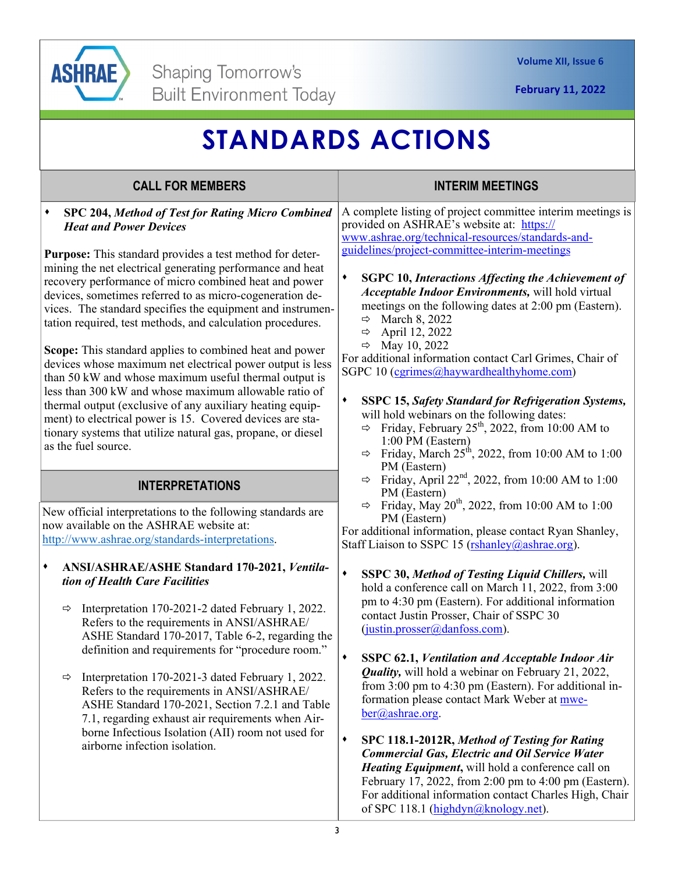

**February 11, 2022** 

# **STANDARDS ACTIONS**

| <b>CALL FOR MEMBERS</b>                                                                                                                                                                                                                                                                                                                                                                                                                                                                                                                                                                                                                                                                                                                                                                                                                                                                                                        | <b>INTERIM MEETINGS</b>                                                                                                                                                                                                                                                                                                                                                                                                                                                                                                                                                                                                                                                                                                                                                                                                                                                                                              |
|--------------------------------------------------------------------------------------------------------------------------------------------------------------------------------------------------------------------------------------------------------------------------------------------------------------------------------------------------------------------------------------------------------------------------------------------------------------------------------------------------------------------------------------------------------------------------------------------------------------------------------------------------------------------------------------------------------------------------------------------------------------------------------------------------------------------------------------------------------------------------------------------------------------------------------|----------------------------------------------------------------------------------------------------------------------------------------------------------------------------------------------------------------------------------------------------------------------------------------------------------------------------------------------------------------------------------------------------------------------------------------------------------------------------------------------------------------------------------------------------------------------------------------------------------------------------------------------------------------------------------------------------------------------------------------------------------------------------------------------------------------------------------------------------------------------------------------------------------------------|
| SPC 204, Method of Test for Rating Micro Combined<br><b>Heat and Power Devices</b><br><b>Purpose:</b> This standard provides a test method for deter-<br>mining the net electrical generating performance and heat<br>recovery performance of micro combined heat and power<br>devices, sometimes referred to as micro-cogeneration de-<br>vices. The standard specifies the equipment and instrumen-<br>tation required, test methods, and calculation procedures.<br>Scope: This standard applies to combined heat and power<br>devices whose maximum net electrical power output is less<br>than 50 kW and whose maximum useful thermal output is<br>less than 300 kW and whose maximum allowable ratio of<br>thermal output (exclusive of any auxiliary heating equip-<br>ment) to electrical power is 15. Covered devices are sta-<br>tionary systems that utilize natural gas, propane, or diesel<br>as the fuel source. | A complete listing of project committee interim meetings is<br>provided on ASHRAE's website at: https://<br>www.ashrae.org/technical-resources/standards-and-<br>guidelines/project-committee-interim-meetings<br>٠<br><b>SGPC 10, Interactions Affecting the Achievement of</b><br>Acceptable Indoor Environments, will hold virtual<br>meetings on the following dates at 2:00 pm (Eastern).<br>$\Rightarrow$ March 8, 2022<br>April 12, 2022<br>$\Rightarrow$<br>$\Rightarrow$ May 10, 2022<br>For additional information contact Carl Grimes, Chair of<br>SGPC 10 (cgrimes@haywardhealthyhome.com)<br>$\blacklozenge$<br><b>SSPC 15, Safety Standard for Refrigeration Systems,</b><br>will hold webinars on the following dates:<br>$\Rightarrow$ Friday, February 25 <sup>th</sup> , 2022, from 10:00 AM to<br>1:00 PM (Eastern)<br>$\Rightarrow$ Friday, March 25 <sup>th</sup> , 2022, from 10:00 AM to 1:00 |
| <b>INTERPRETATIONS</b><br>New official interpretations to the following standards are<br>now available on the ASHRAE website at:<br>http://www.ashrae.org/standards-interpretations.                                                                                                                                                                                                                                                                                                                                                                                                                                                                                                                                                                                                                                                                                                                                           | PM (Eastern)<br>Friday, April 22 <sup>nd</sup> , 2022, from 10:00 AM to 1:00<br>$\Rightarrow$<br>PM (Eastern)<br>Friday, May 20 <sup>th</sup> , 2022, from 10:00 AM to 1:00<br>$\Rightarrow$<br>PM (Eastern)<br>For additional information, please contact Ryan Shanley,<br>Staff Liaison to SSPC 15 (rshanley@ashrae.org).                                                                                                                                                                                                                                                                                                                                                                                                                                                                                                                                                                                          |
| ANSI/ASHRAE/ASHE Standard 170-2021, Ventila-<br>٠<br>tion of Health Care Facilities<br>Interpretation 170-2021-2 dated February 1, 2022.<br>$\Rightarrow$<br>Refers to the requirements in ANSI/ASHRAE/<br>ASHE Standard 170-2017, Table 6-2, regarding the<br>definition and requirements for "procedure room."<br>Interpretation 170-2021-3 dated February 1, 2022.<br>⇨<br>Refers to the requirements in ANSI/ASHRAE/<br>ASHE Standard 170-2021, Section 7.2.1 and Table<br>7.1, regarding exhaust air requirements when Air-<br>borne Infectious Isolation (AII) room not used for<br>airborne infection isolation.                                                                                                                                                                                                                                                                                                        | ٠<br><b>SSPC 30, Method of Testing Liquid Chillers, will</b><br>hold a conference call on March 11, 2022, from 3:00<br>pm to 4:30 pm (Eastern). For additional information<br>contact Justin Prosser, Chair of SSPC 30<br>(justin.prosser@danfoss.com).<br>SSPC 62.1, Ventilation and Acceptable Indoor Air<br>٠<br><b>Quality,</b> will hold a webinar on February 21, 2022,<br>from 3:00 pm to 4:30 pm (Eastern). For additional in-<br>formation please contact Mark Weber at mwe-<br>ber@ashrae.org.<br>٠<br>SPC 118.1-2012R, Method of Testing for Rating<br><b>Commercial Gas, Electric and Oil Service Water</b><br>Heating Equipment, will hold a conference call on<br>February 17, 2022, from 2:00 pm to 4:00 pm (Eastern).<br>For additional information contact Charles High, Chair                                                                                                                      |

of SPC 118.1 (highdyn@knology.net).